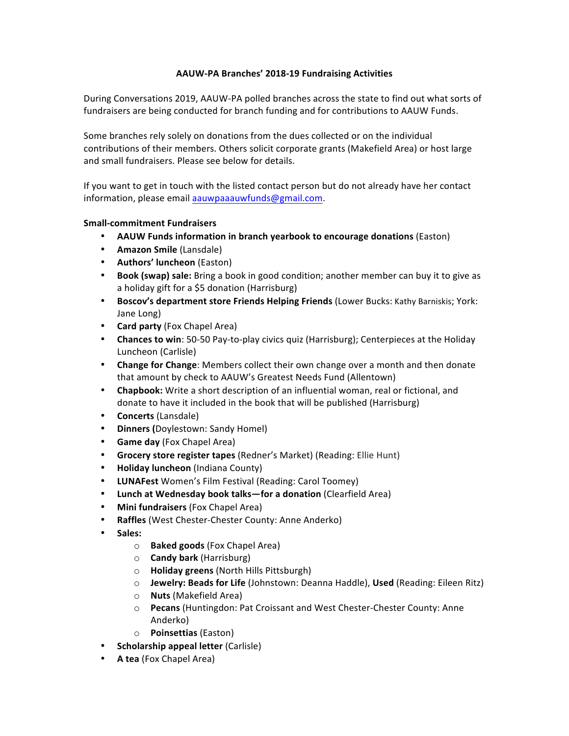## **AAUW-PA Branches' 2018-19 Fundraising Activities**

During Conversations 2019, AAUW-PA polled branches across the state to find out what sorts of fundraisers are being conducted for branch funding and for contributions to AAUW Funds.

Some branches rely solely on donations from the dues collected or on the individual contributions of their members. Others solicit corporate grants (Makefield Area) or host large and small fundraisers. Please see below for details.

If you want to get in touch with the listed contact person but do not already have her contact information, please email aauwpaaauwfunds@gmail.com.

## **Small-commitment Fundraisers**

- **AAUW Funds information in branch yearbook to encourage donations** (Easton)
- **Amazon Smile** (Lansdale)
- **Authors' luncheon** (Easton)
- **Book (swap) sale:** Bring a book in good condition; another member can buy it to give as a holiday gift for a \$5 donation (Harrisburg)
- **Boscov's department store Friends Helping Friends (Lower Bucks: Kathy Barniskis; York:** Jane Long)
- **Card party** (Fox Chapel Area)
- **Chances to win**: 50-50 Pay-to-play civics quiz (Harrisburg); Centerpieces at the Holiday Luncheon (Carlisle)
- Change for Change: Members collect their own change over a month and then donate that amount by check to AAUW's Greatest Needs Fund (Allentown)
- **Chapbook:** Write a short description of an influential woman, real or fictional, and donate to have it included in the book that will be published (Harrisburg)
- **Concerts** (Lansdale)
- **Dinners (Doylestown: Sandy Homel)**
- **Game day** (Fox Chapel Area)
- Grocery store register tapes (Redner's Market) (Reading: Ellie Hunt)
- **Holiday luncheon** (Indiana County)
- **LUNAFest** Women's Film Festival (Reading: Carol Toomey)
- Lunch at Wednesday book talks-for a donation (Clearfield Area)
- **Mini fundraisers** (Fox Chapel Area)
- **Raffles** (West Chester-Chester County: Anne Anderko)
- **Sales:** 
	- o **Baked goods** (Fox Chapel Area)
	- o **Candy bark** (Harrisburg)
	- o **Holiday greens** (North Hills Pittsburgh)
	- $\circ$  **Jewelry: Beads for Life** (Johnstown: Deanna Haddle), Used (Reading: Eileen Ritz)
	- o **Nuts** (Makefield Area)
	- o **Pecans** (Huntingdon: Pat Croissant and West Chester-Chester County: Anne Anderko)
	- o **Poinsettias** (Easton)
- **Scholarship appeal letter** (Carlisle)
- **A tea** (Fox Chapel Area)